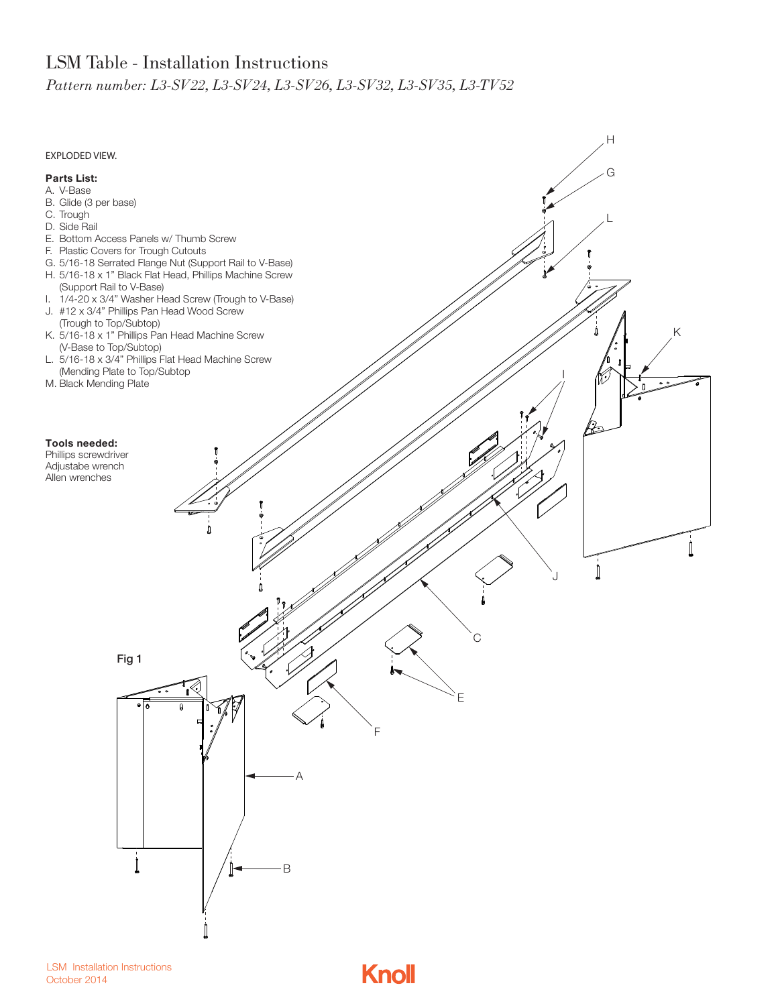### LSM Table - Installation Instructions

*Pattern number: L3-SV22, L3-SV24, L3-SV26, L3-SV32, L3-SV35, L3-TV52*

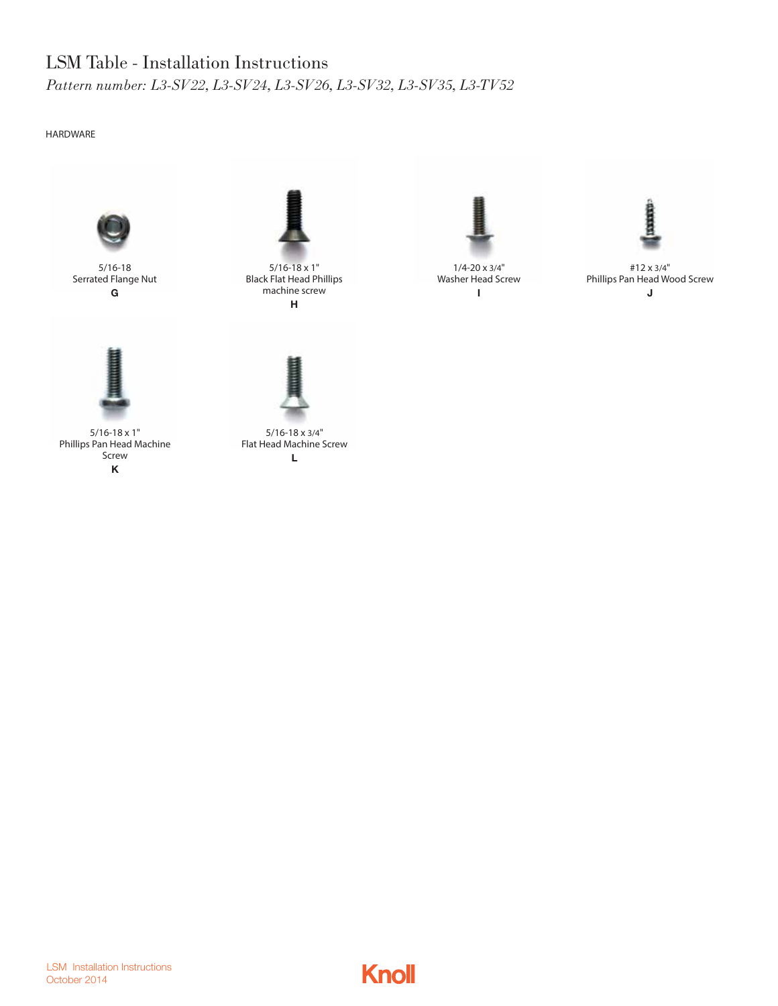### HARDWARE



5/16-18 Serrated Flange Nut G



5/16-18 x 1" Phillips Pan Head Machine Screw K



Black Flat Head Phillips machine screw H



5/16-18 x 3/4" Flat Head Machine Screw L



Washer Head Screw I



#12 x 3/4" Phillips Pan Head Wood Screw J

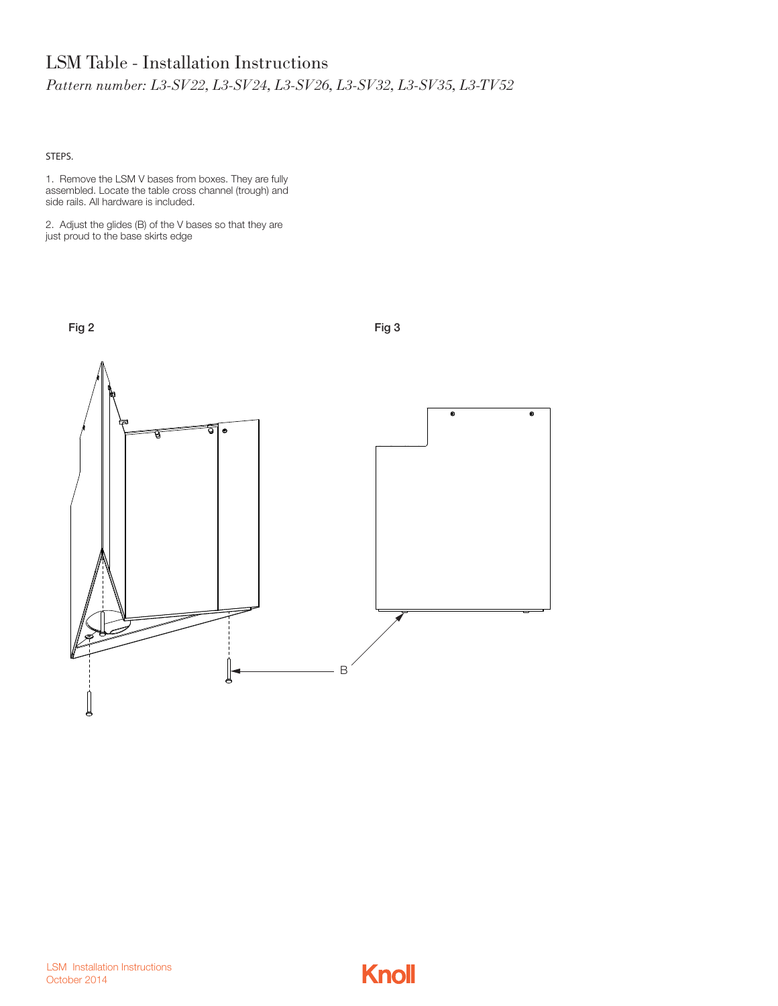STEPS.

1. Remove the LSM V bases from boxes. They are fully assembled. Locate the table cross channel (trough) and side rails. All hardware is included.

2. Adjust the glides (B) of the V bases so that they are just proud to the base skirts edge



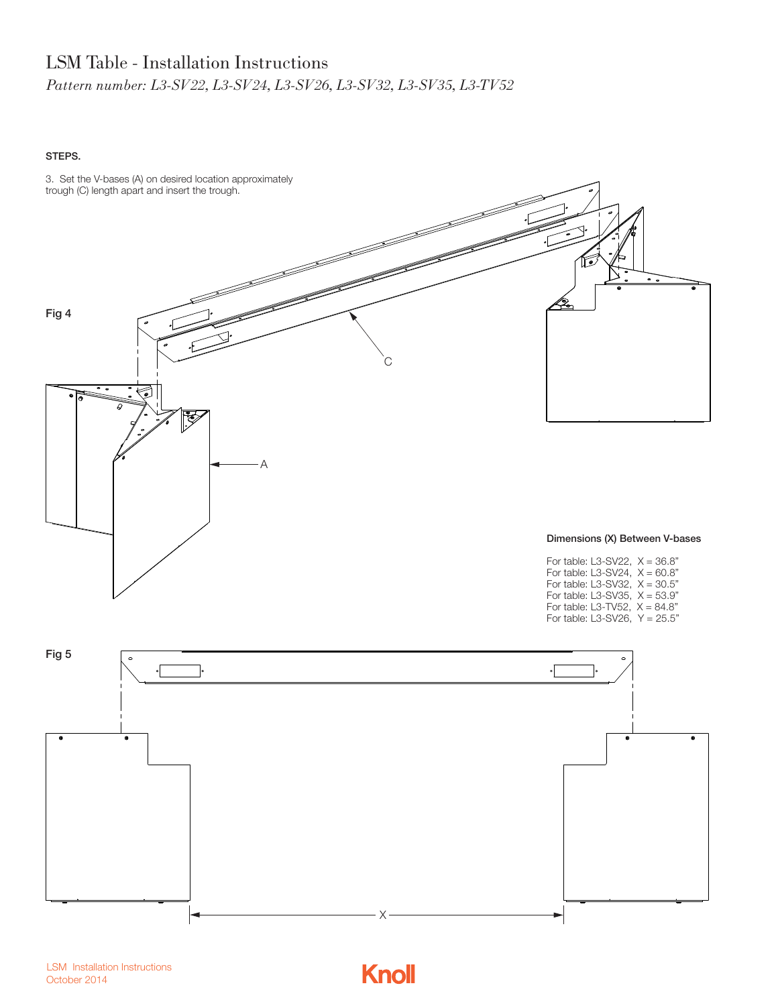#### STEPS.



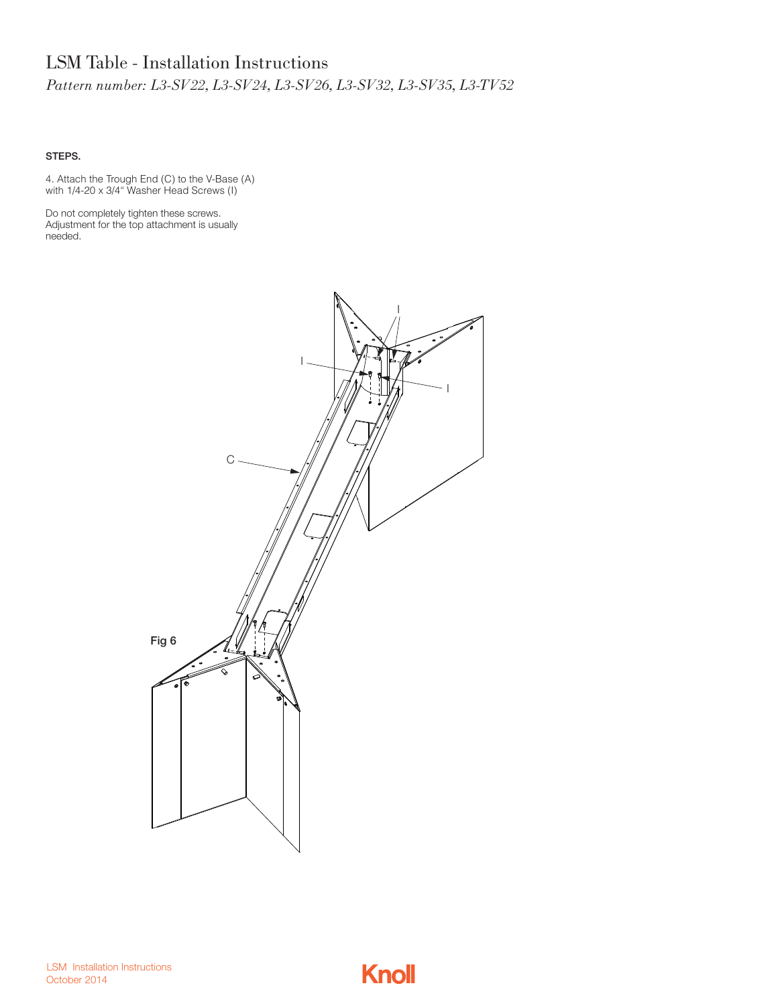### STEPS.

4. Attach the Trough End (C) to the V-Base (A) with 1/4-20 x 3/4" Washer Head Screws (I)

Do not completely tighten these screws. Adjustment for the top attachment is usually needed.



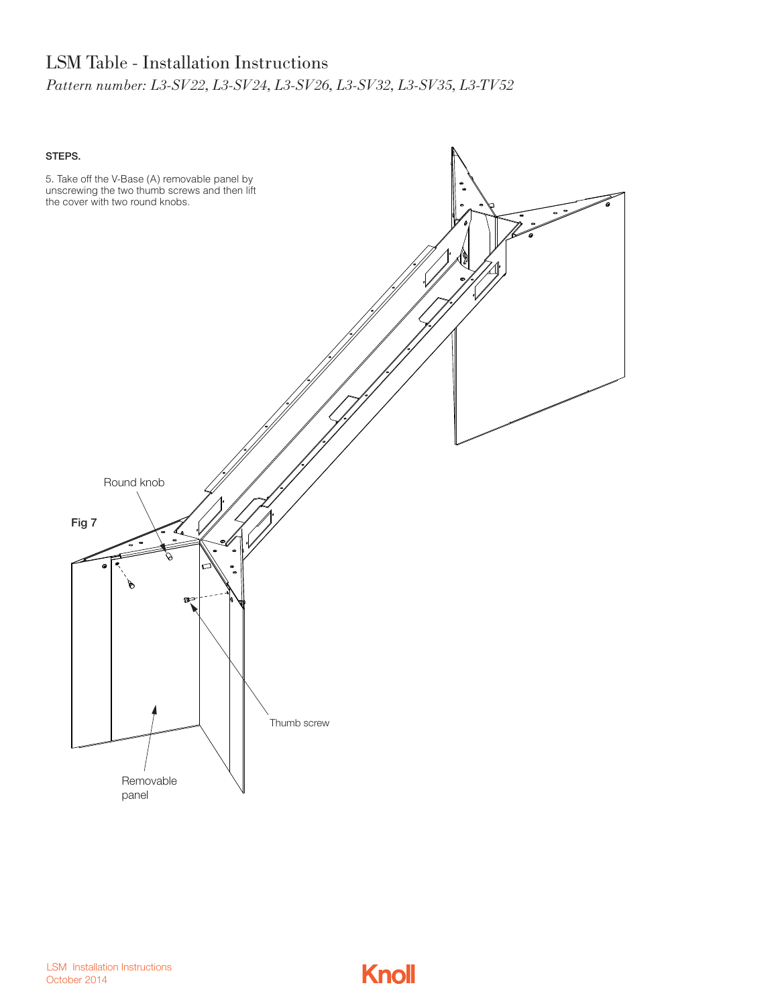### STEPS.



LSM Installation Instructions October 2014

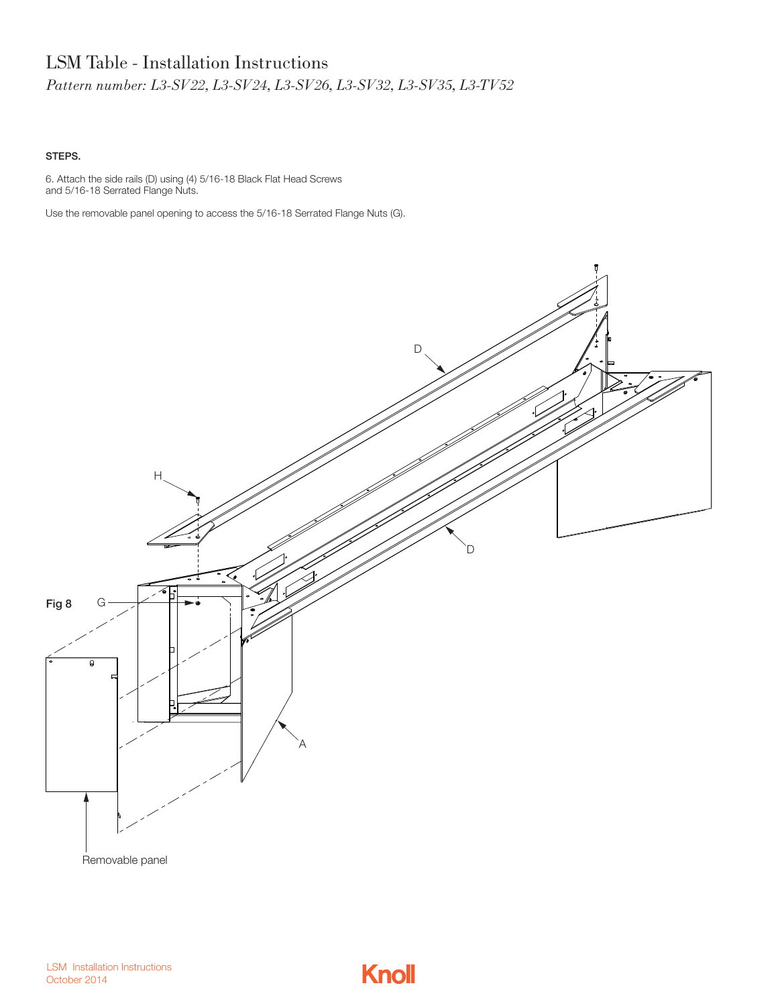### STEPS.

6. Attach the side rails (D) using (4) 5/16-18 Black Flat Head Screws and 5/16-18 Serrated Flange Nuts.

Use the removable panel opening to access the 5/16-18 Serrated Flange Nuts (G).



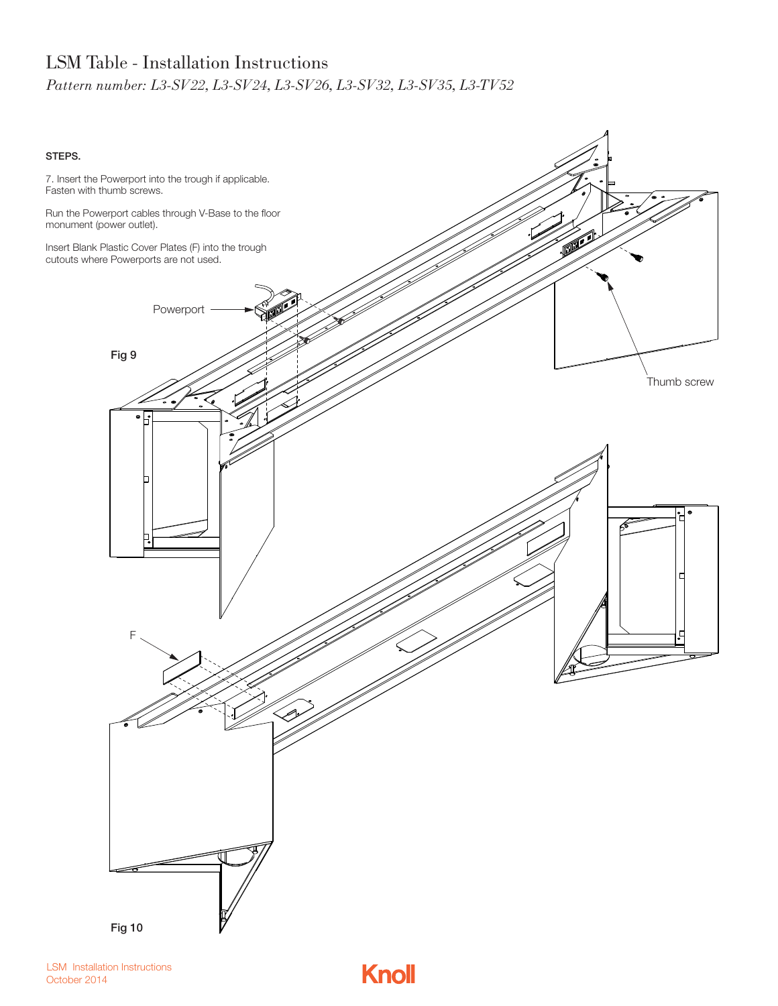### LSM Table - Installation Instructions

*Pattern number: L3-SV22, L3-SV24, L3-SV26, L3-SV32, L3-SV35, L3-TV52*

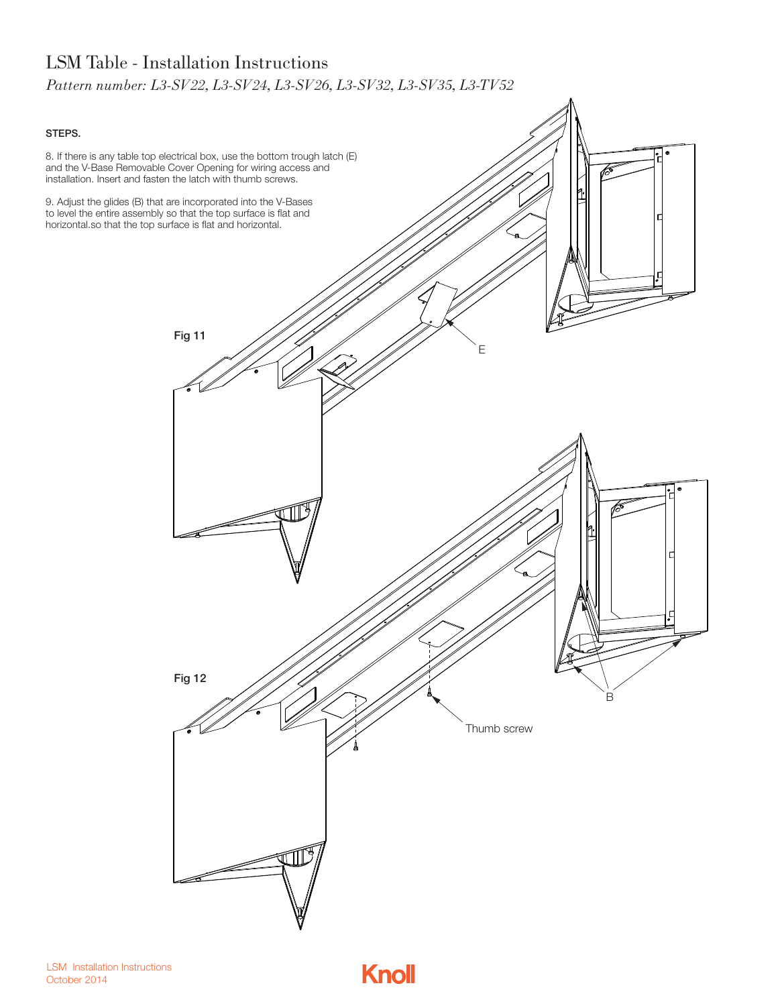#### STEPS.

8. If there is any table top electrical box, use the bottom trough latch (E) and the V-Base Removable Cover Opening for wiring access and installation. Insert and fasten the latch with thumb screws. 9. Adjust the glides (B) that are incorporated into the V-Bases to level the entire assembly so that the top surface is flat and horizontal.so that the top surface is flat and horizontal.

Fig 11

Fig 12 E Thumb screw B